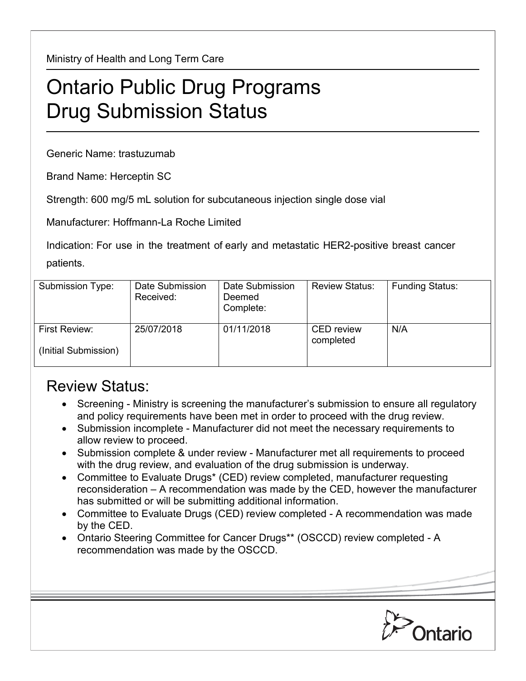Ministry of Health and Long Term Care

## Ontario Public Drug Programs Drug Submission Status

Generic Name: trastuzumab

Brand Name: Herceptin SC

Strength: 600 mg/5 mL solution for subcutaneous injection single dose vial

Manufacturer: Hoffmann-La Roche Limited

Indication: For use in the treatment of early and metastatic HER2-positive breast cancer patients.

| Submission Type:                      | Date Submission<br>Received: | Date Submission<br>Deemed<br>Complete: | <b>Review Status:</b>          | <b>Funding Status:</b> |
|---------------------------------------|------------------------------|----------------------------------------|--------------------------------|------------------------|
| First Review:<br>(Initial Submission) | 25/07/2018                   | 01/11/2018                             | <b>CED</b> review<br>completed | N/A                    |

## Review Status:

- Screening Ministry is screening the manufacturer's submission to ensure all regulatory and policy requirements have been met in order to proceed with the drug review.
- Submission incomplete Manufacturer did not meet the necessary requirements to allow review to proceed.
- Submission complete & under review Manufacturer met all requirements to proceed with the drug review, and evaluation of the drug submission is underway.
- Committee to Evaluate Drugs\* (CED) review completed, manufacturer requesting reconsideration – A recommendation was made by the CED, however the manufacturer has submitted or will be submitting additional information.
- Committee to Evaluate Drugs (CED) review completed A recommendation was made by the CED.
- Ontario Steering Committee for Cancer Drugs\*\* (OSCCD) review completed A recommendation was made by the OSCCD.